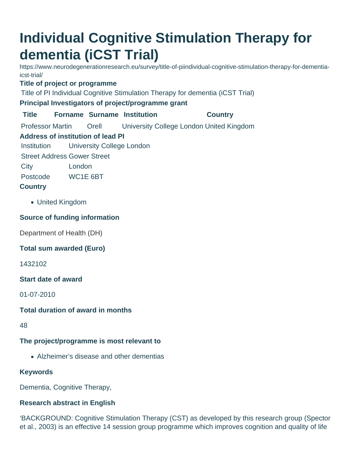# **Individual Cognitive Stimulation Therapy for dementia (iCST Trial)**

https://www.neurodegenerationresearch.eu/survey/title-of-piindividual-cognitive-stimulation-therapy-for-dementiaicst-trial/

## **Title of project or programme**

Title of PI Individual Cognitive Stimulation Therapy for dementia (iCST Trial)

## **Principal Investigators of project/programme grant**

**Title Forname Surname Institution Country**

Professor Martin Orell University College London United Kingdom

# **Address of institution of lead PI**

Institution University College London

Street Address Gower Street

City London

Postcode WC1E 6BT

# **Country**

United Kingdom

# **Source of funding information**

Department of Health (DH)

## **Total sum awarded (Euro)**

1432102

#### **Start date of award**

01-07-2010

## **Total duration of award in months**

48

# **The project/programme is most relevant to**

Alzheimer's disease and other dementias

# **Keywords**

Dementia, Cognitive Therapy,

# **Research abstract in English**

'BACKGROUND: Cognitive Stimulation Therapy (CST) as developed by this research group (Spector et al., 2003) is an effective 14 session group programme which improves cognition and quality of life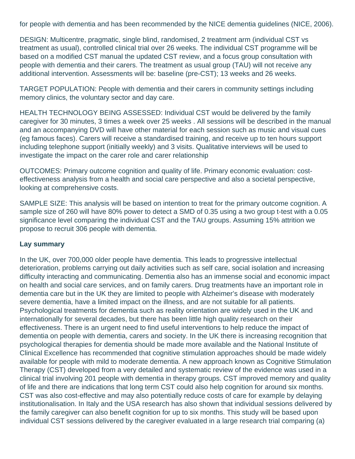for people with dementia and has been recommended by the NICE dementia guidelines (NICE, 2006).

DESIGN: Multicentre, pragmatic, single blind, randomised, 2 treatment arm (individual CST vs treatment as usual), controlled clinical trial over 26 weeks. The individual CST programme will be based on a modified CST manual the updated CST review, and a focus group consultation with people with dementia and their carers. The treatment as usual group (TAU) will not receive any additional intervention. Assessments will be: baseline (pre-CST); 13 weeks and 26 weeks.

TARGET POPULATION: People with dementia and their carers in community settings including memory clinics, the voluntary sector and day care.

HEALTH TECHNOLOGY BEING ASSESSED: Individual CST would be delivered by the family caregiver for 30 minutes, 3 times a week over 25 weeks . All sessions will be described in the manual and an accompanying DVD will have other material for each session such as music and visual cues (eg famous faces). Carers will receive a standardised training, and receive up to ten hours support including telephone support (initially weekly) and 3 visits. Qualitative interviews will be used to investigate the impact on the carer role and carer relationship

OUTCOMES: Primary outcome cognition and quality of life. Primary economic evaluation: costeffectiveness analysis from a health and social care perspective and also a societal perspective, looking at comprehensive costs.

SAMPLE SIZE: This analysis will be based on intention to treat for the primary outcome cognition. A sample size of 260 will have 80% power to detect a SMD of 0.35 using a two group t-test with a 0.05 significance level comparing the individual CST and the TAU groups. Assuming 15% attrition we propose to recruit 306 people with dementia.

#### **Lay summary**

In the UK, over 700,000 older people have dementia. This leads to progressive intellectual deterioration, problems carrying out daily activities such as self care, social isolation and increasing difficulty interacting and communicating. Dementia also has an immense social and economic impact on health and social care services, and on family carers. Drug treatments have an important role in dementia care but in the UK they are limited to people with Alzheimer's disease with moderately severe dementia, have a limited impact on the illness, and are not suitable for all patients. Psychological treatments for dementia such as reality orientation are widely used in the UK and internationally for several decades, but there has been little high quality research on their effectiveness. There is an urgent need to find useful interventions to help reduce the impact of dementia on people with dementia, carers and society. In the UK there is increasing recognition that psychological therapies for dementia should be made more available and the National Institute of Clinical Excellence has recommended that cognitive stimulation approaches should be made widely available for people with mild to moderate dementia. A new approach known as Cognitive Stimulation Therapy (CST) developed from a very detailed and systematic review of the evidence was used in a clinical trial involving 201 people with dementia in therapy groups. CST improved memory and quality of life and there are indications that long term CST could also help cognition for around six months. CST was also cost-effective and may also potentially reduce costs of care for example by delaying institutionalisation. In Italy and the USA research has also shown that individual sessions delivered by the family caregiver can also benefit cognition for up to six months. This study will be based upon individual CST sessions delivered by the caregiver evaluated in a large research trial comparing (a)